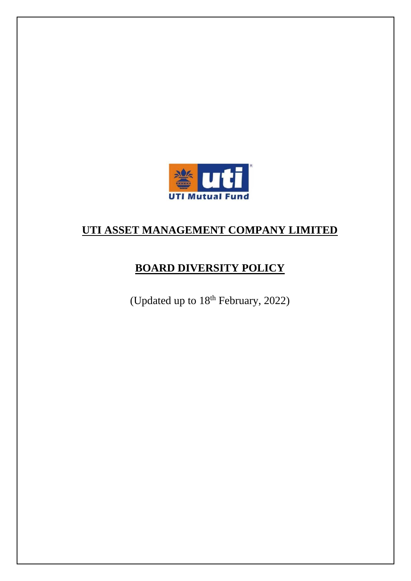

# **UTI ASSET MANAGEMENT COMPANY LIMITED**

# **BOARD DIVERSITY POLICY**

(Updated up to  $18<sup>th</sup>$  February, 2022)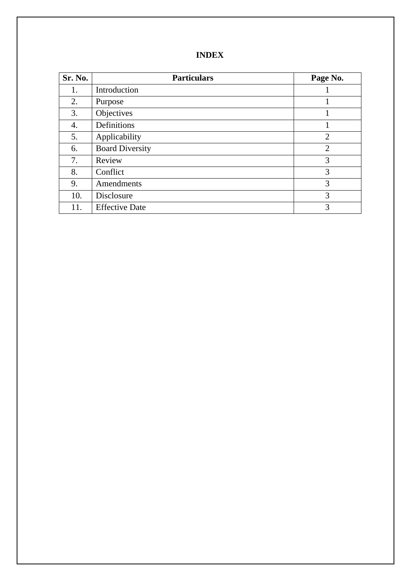| Sr. No. | <b>Particulars</b>     | Page No.       |
|---------|------------------------|----------------|
| 1.      | Introduction           |                |
| 2.      | Purpose                | 1              |
| 3.      | Objectives             | 1              |
| 4.      | Definitions            |                |
| 5.      | Applicability          | $\overline{2}$ |
| 6.      | <b>Board Diversity</b> | $\overline{2}$ |
| 7.      | Review                 | 3              |
| 8.      | Conflict               | 3              |
| 9.      | Amendments             | 3              |
| 10.     | Disclosure             | 3              |
| 11.     | <b>Effective Date</b>  | 3              |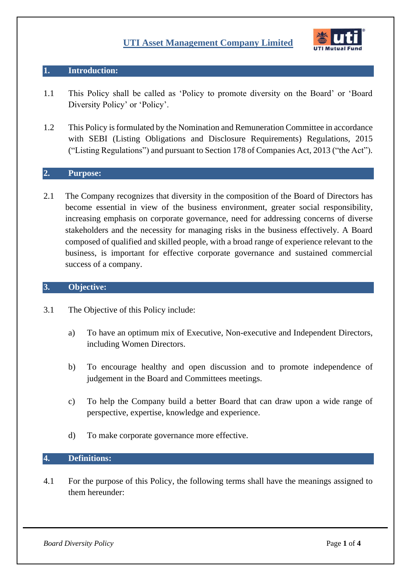

## **1. Introduction:**

- 1.1 This Policy shall be called as 'Policy to promote diversity on the Board' or 'Board Diversity Policy' or 'Policy'.
- 1.2 This Policy is formulated by the Nomination and Remuneration Committee in accordance with SEBI (Listing Obligations and Disclosure Requirements) Regulations, 2015 ("Listing Regulations") and pursuant to Section 178 of Companies Act, 2013 ("the Act").

## **2. Purpose:**

2.1 The Company recognizes that diversity in the composition of the Board of Directors has become essential in view of the business environment, greater social responsibility, increasing emphasis on corporate governance, need for addressing concerns of diverse stakeholders and the necessity for managing risks in the business effectively. A Board composed of qualified and skilled people, with a broad range of experience relevant to the business, is important for effective corporate governance and sustained commercial success of a company.

## **3. Objective:**

- 3.1 The Objective of this Policy include:
	- a) To have an optimum mix of Executive, Non-executive and Independent Directors, including Women Directors.
	- b) To encourage healthy and open discussion and to promote independence of judgement in the Board and Committees meetings.
	- c) To help the Company build a better Board that can draw upon a wide range of perspective, expertise, knowledge and experience.
	- d) To make corporate governance more effective.

#### **4. Definitions:**

4.1 For the purpose of this Policy, the following terms shall have the meanings assigned to them hereunder:

**Board Diversity Policy Page 1 of 4**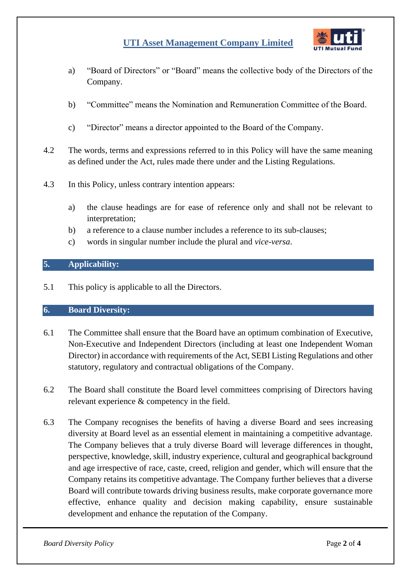## **UTI Asset Management Company Limited**



- a) "Board of Directors" or "Board" means the collective body of the Directors of the Company.
- b) "Committee" means the Nomination and Remuneration Committee of the Board.
- c) "Director" means a director appointed to the Board of the Company.
- 4.2 The words, terms and expressions referred to in this Policy will have the same meaning as defined under the Act, rules made there under and the Listing Regulations.
- 4.3 In this Policy, unless contrary intention appears:
	- a) the clause headings are for ease of reference only and shall not be relevant to interpretation;
	- b) a reference to a clause number includes a reference to its sub-clauses;
	- c) words in singular number include the plural and *vice-versa*.

## **5. Applicability:**

5.1 This policy is applicable to all the Directors.

## **6. Board Diversity:**

- 6.1 The Committee shall ensure that the Board have an optimum combination of Executive, Non-Executive and Independent Directors (including at least one Independent Woman Director) in accordance with requirements of the Act, SEBI Listing Regulations and other statutory, regulatory and contractual obligations of the Company.
- 6.2 The Board shall constitute the Board level committees comprising of Directors having relevant experience & competency in the field.
- 6.3 The Company recognises the benefits of having a diverse Board and sees increasing diversity at Board level as an essential element in maintaining a competitive advantage. The Company believes that a truly diverse Board will leverage differences in thought, perspective, knowledge, skill, industry experience, cultural and geographical background and age irrespective of race, caste, creed, religion and gender, which will ensure that the Company retains its competitive advantage. The Company further believes that a diverse Board will contribute towards driving business results, make corporate governance more effective, enhance quality and decision making capability, ensure sustainable development and enhance the reputation of the Company.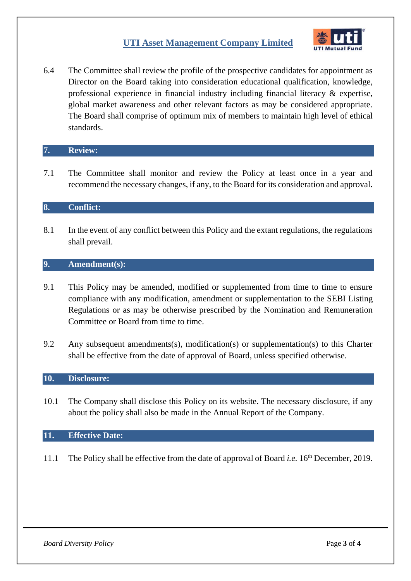## **UTI Asset Management Company Limited**



6.4 The Committee shall review the profile of the prospective candidates for appointment as Director on the Board taking into consideration educational qualification, knowledge, professional experience in financial industry including financial literacy & expertise, global market awareness and other relevant factors as may be considered appropriate. The Board shall comprise of optimum mix of members to maintain high level of ethical standards.

#### **7. Review:**

7.1 The Committee shall monitor and review the Policy at least once in a year and recommend the necessary changes, if any, to the Board for its consideration and approval.

#### **8. Conflict:**

8.1 In the event of any conflict between this Policy and the extant regulations, the regulations shall prevail.

#### **9. Amendment(s):**

- 9.1 This Policy may be amended, modified or supplemented from time to time to ensure compliance with any modification, amendment or supplementation to the SEBI Listing Regulations or as may be otherwise prescribed by the Nomination and Remuneration Committee or Board from time to time.
- 9.2 Any subsequent amendments(s), modification(s) or supplementation(s) to this Charter shall be effective from the date of approval of Board, unless specified otherwise.

#### **10. Disclosure:**

10.1 The Company shall disclose this Policy on its website. The necessary disclosure, if any about the policy shall also be made in the Annual Report of the Company.

#### **11. Effective Date:**

11.1 The Policy shall be effective from the date of approval of Board *i.e.* 16th December, 2019.